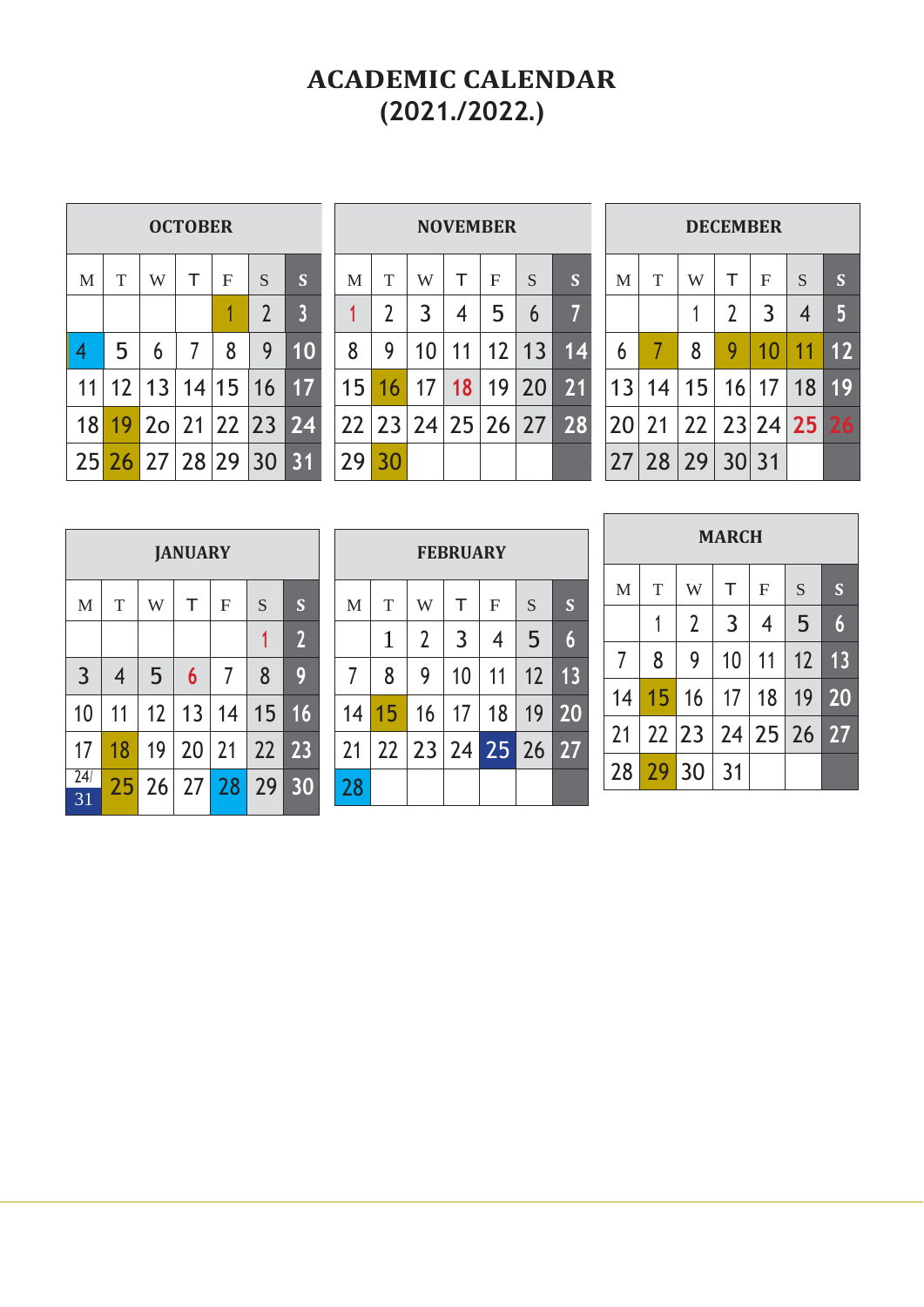## **ACADEMIC CALENDAR (2021./2022.)**

| <b>OCTOBER</b> |                |            |   |              |                |                |  |  |
|----------------|----------------|------------|---|--------------|----------------|----------------|--|--|
| M              | T              | W          | т | $\mathbf{F}$ | S              | S              |  |  |
|                |                |            |   |              | $\overline{2}$ | $\overline{3}$ |  |  |
| 4              | 5              | 6          |   | 8            | 9              |                |  |  |
| 11             | 12             | 13         |   | 14 15        | 16             | 17             |  |  |
| 18             |                | $19$ 20 21 |   | 22 23        |                | 24             |  |  |
|                | 25 26 27 28 29 |            |   |              | 30             | 31             |  |  |

Г

| <b>NOVEMBER</b> |                   |                |    |              |    |                 |  |  |
|-----------------|-------------------|----------------|----|--------------|----|-----------------|--|--|
| M               | T                 | W              | T  | $\mathbf{F}$ | S  | S               |  |  |
|                 | $\overline{2}$    | $\overline{3}$ | 4  | 5            | 6  | 7               |  |  |
| 8               | 9                 | 10             | 11 | 12           | 13 | $\overline{14}$ |  |  |
| 15              | 16                | 17             | 18 | 19           | 20 | 21              |  |  |
|                 | 22 23 24 25 26 27 |                |    |              |    | 28              |  |  |
| 29              | 30                |                |    |              |    |                 |  |  |

|              | <b>DECEMBER</b> |    |                |              |    |                       |  |  |  |
|--------------|-----------------|----|----------------|--------------|----|-----------------------|--|--|--|
| $\mathbf{M}$ | T               | W  | т              | $\mathbf{F}$ | S  | $\mathbf S$           |  |  |  |
|              |                 |    | $\overline{2}$ | 3            | 4  | $\boldsymbol{\theta}$ |  |  |  |
| 6            |                 | 8  | 9              | 10           | 11 | 12                    |  |  |  |
| 13           | 14              | 15 | 16             | 17           | 18 | 19                    |  |  |  |
| 20           | 21              | 22 |                | 23 24        | 25 | 26                    |  |  |  |
| 27           | 28 29           |    | 30             | 31           |    |                       |  |  |  |

|                       | <b>JANUARY</b> |    |                  |                |    |                |  |  |  |
|-----------------------|----------------|----|------------------|----------------|----|----------------|--|--|--|
| $\mathbf{M}$          | T              | W  | T                | $\overline{F}$ | S  | S              |  |  |  |
|                       |                |    |                  |                | 1  | $\overline{2}$ |  |  |  |
| $\overline{3}$        | $\overline{4}$ | 5  | $\boldsymbol{6}$ | 7              | 8  | 9              |  |  |  |
| 10                    | 11             | 12 | 13               | 14             | 15 | 16             |  |  |  |
| 17                    | 18             | 19 | 20               | 21             | 22 | 23             |  |  |  |
| $\overline{24}$<br>31 | 25             | 26 |                  | $27$ 28        | 29 | 30             |  |  |  |

| <b>FEBRUARY</b> |    |                |    |                |    |    |  |  |  |
|-----------------|----|----------------|----|----------------|----|----|--|--|--|
| $\mathbf{M}$    | T  | W              | T  | $\overline{F}$ | S  | S  |  |  |  |
|                 | 1  | $\overline{2}$ | 3  | 4              | 5  | 6  |  |  |  |
| $\overline{7}$  | 8  | 9              | 10 | 11             | 12 | 13 |  |  |  |
| 14              | 15 | 16             | 17 | 18             | 19 | 20 |  |  |  |
| 21              | 22 | 23             | 24 | 25 26          |    | 27 |  |  |  |
| 28              |    |                |    |                |    |    |  |  |  |

|              | <b>MARCH</b> |                |    |                |    |                  |  |  |  |
|--------------|--------------|----------------|----|----------------|----|------------------|--|--|--|
| $\mathbf{M}$ | $\mathbf T$  | W              | T  | $\overline{F}$ | S  | S                |  |  |  |
|              | 1            | $\overline{2}$ | 3  | 4              | 5  | $\boldsymbol{6}$ |  |  |  |
| 7            | 8            | 9              | 10 | 11             | 12 | 13               |  |  |  |
| 14           | 15           | 16             | 17 | 18             | 19 | $\overline{2}0$  |  |  |  |
| 21           | 22 23        |                | 24 | 25             | 26 | 27               |  |  |  |
| 28           | 29           | 30             | 31 |                |    |                  |  |  |  |